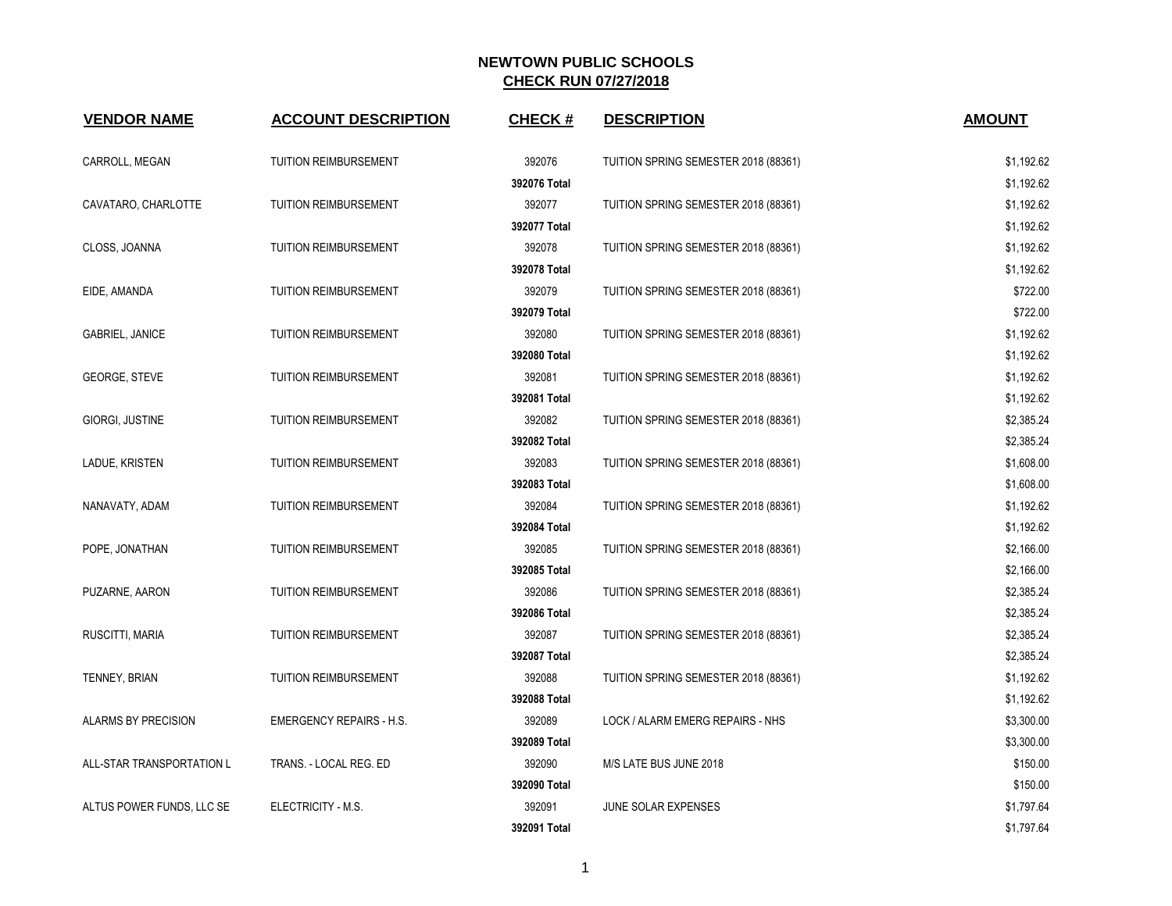| <b>VENDOR NAME</b>        | <b>ACCOUNT DESCRIPTION</b>      | <b>CHECK#</b> | <b>DESCRIPTION</b>                   | <b>AMOUNT</b> |
|---------------------------|---------------------------------|---------------|--------------------------------------|---------------|
| CARROLL, MEGAN            | TUITION REIMBURSEMENT           | 392076        | TUITION SPRING SEMESTER 2018 (88361) | \$1,192.62    |
|                           |                                 | 392076 Total  |                                      | \$1,192.62    |
| CAVATARO, CHARLOTTE       | <b>TUITION REIMBURSEMENT</b>    | 392077        | TUITION SPRING SEMESTER 2018 (88361) | \$1,192.62    |
|                           |                                 | 392077 Total  |                                      | \$1,192.62    |
| CLOSS, JOANNA             | <b>TUITION REIMBURSEMENT</b>    | 392078        | TUITION SPRING SEMESTER 2018 (88361) | \$1,192.62    |
|                           |                                 | 392078 Total  |                                      | \$1,192.62    |
| EIDE, AMANDA              | <b>TUITION REIMBURSEMENT</b>    | 392079        | TUITION SPRING SEMESTER 2018 (88361) | \$722.00      |
|                           |                                 | 392079 Total  |                                      | \$722.00      |
| <b>GABRIEL, JANICE</b>    | <b>TUITION REIMBURSEMENT</b>    | 392080        | TUITION SPRING SEMESTER 2018 (88361) | \$1,192.62    |
|                           |                                 | 392080 Total  |                                      | \$1,192.62    |
| <b>GEORGE, STEVE</b>      | <b>TUITION REIMBURSEMENT</b>    | 392081        | TUITION SPRING SEMESTER 2018 (88361) | \$1,192.62    |
|                           |                                 | 392081 Total  |                                      | \$1,192.62    |
| GIORGI, JUSTINE           | <b>TUITION REIMBURSEMENT</b>    | 392082        | TUITION SPRING SEMESTER 2018 (88361) | \$2,385.24    |
|                           |                                 | 392082 Total  |                                      | \$2,385.24    |
| LADUE, KRISTEN            | <b>TUITION REIMBURSEMENT</b>    | 392083        | TUITION SPRING SEMESTER 2018 (88361) | \$1,608.00    |
|                           |                                 | 392083 Total  |                                      | \$1,608.00    |
| NANAVATY, ADAM            | TUITION REIMBURSEMENT           | 392084        | TUITION SPRING SEMESTER 2018 (88361) | \$1,192.62    |
|                           |                                 | 392084 Total  |                                      | \$1,192.62    |
| POPE, JONATHAN            | TUITION REIMBURSEMENT           | 392085        | TUITION SPRING SEMESTER 2018 (88361) | \$2,166.00    |
|                           |                                 | 392085 Total  |                                      | \$2,166.00    |
| PUZARNE, AARON            | <b>TUITION REIMBURSEMENT</b>    | 392086        | TUITION SPRING SEMESTER 2018 (88361) | \$2,385.24    |
|                           |                                 | 392086 Total  |                                      | \$2,385.24    |
| RUSCITTI, MARIA           | TUITION REIMBURSEMENT           | 392087        | TUITION SPRING SEMESTER 2018 (88361) | \$2,385.24    |
|                           |                                 | 392087 Total  |                                      | \$2,385.24    |
| TENNEY, BRIAN             | TUITION REIMBURSEMENT           | 392088        | TUITION SPRING SEMESTER 2018 (88361) | \$1,192.62    |
|                           |                                 | 392088 Total  |                                      | \$1,192.62    |
| ALARMS BY PRECISION       | <b>EMERGENCY REPAIRS - H.S.</b> | 392089        | LOCK / ALARM EMERG REPAIRS - NHS     | \$3,300.00    |
|                           |                                 | 392089 Total  |                                      | \$3,300.00    |
| ALL-STAR TRANSPORTATION L | TRANS. - LOCAL REG. ED          | 392090        | M/S LATE BUS JUNE 2018               | \$150.00      |
|                           |                                 | 392090 Total  |                                      | \$150.00      |
| ALTUS POWER FUNDS, LLC SE | ELECTRICITY - M.S.              | 392091        | JUNE SOLAR EXPENSES                  | \$1,797.64    |
|                           |                                 | 392091 Total  |                                      | \$1,797.64    |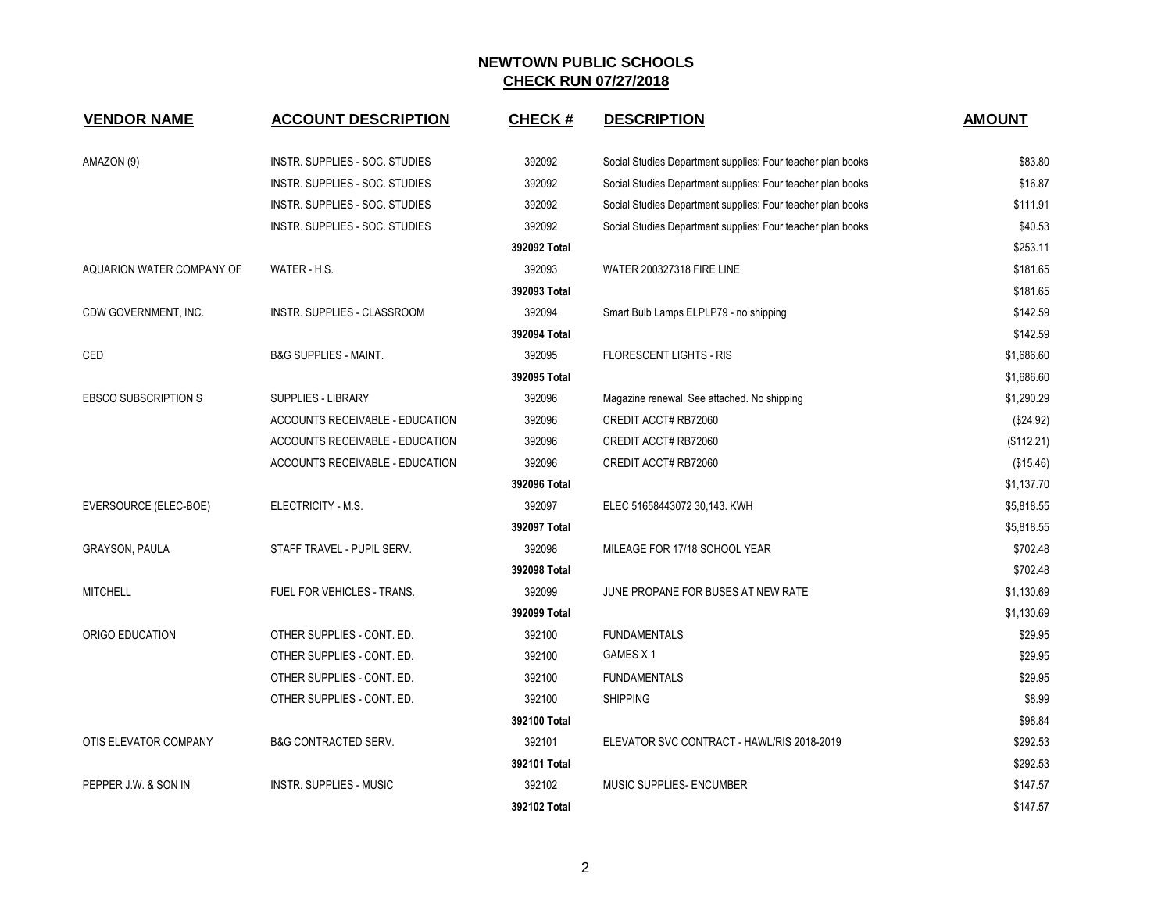| <b>VENDOR NAME</b>               | <b>ACCOUNT DESCRIPTION</b>             | <b>CHECK#</b> | <b>DESCRIPTION</b>                                          | <b>AMOUNT</b> |
|----------------------------------|----------------------------------------|---------------|-------------------------------------------------------------|---------------|
| AMAZON (9)                       | INSTR. SUPPLIES - SOC. STUDIES         | 392092        | Social Studies Department supplies: Four teacher plan books | \$83.80       |
|                                  | INSTR. SUPPLIES - SOC. STUDIES         | 392092        | Social Studies Department supplies: Four teacher plan books | \$16.87       |
|                                  | INSTR. SUPPLIES - SOC. STUDIES         | 392092        | Social Studies Department supplies: Four teacher plan books | \$111.91      |
|                                  | INSTR. SUPPLIES - SOC. STUDIES         | 392092        | Social Studies Department supplies: Four teacher plan books | \$40.53       |
|                                  |                                        | 392092 Total  |                                                             | \$253.11      |
| <b>AQUARION WATER COMPANY OF</b> | WATER - H.S.                           | 392093        | <b>WATER 200327318 FIRE LINE</b>                            | \$181.65      |
|                                  |                                        | 392093 Total  |                                                             | \$181.65      |
| CDW GOVERNMENT, INC.             | INSTR. SUPPLIES - CLASSROOM            | 392094        | Smart Bulb Lamps ELPLP79 - no shipping                      | \$142.59      |
|                                  |                                        | 392094 Total  |                                                             | \$142.59      |
| CED                              | <b>B&amp;G SUPPLIES - MAINT.</b>       | 392095        | <b>FLORESCENT LIGHTS - RIS</b>                              | \$1,686.60    |
|                                  |                                        | 392095 Total  |                                                             | \$1,686.60    |
| <b>EBSCO SUBSCRIPTION S</b>      | <b>SUPPLIES - LIBRARY</b>              | 392096        | Magazine renewal. See attached. No shipping                 | \$1,290.29    |
|                                  | ACCOUNTS RECEIVABLE - EDUCATION        | 392096        | CREDIT ACCT# RB72060                                        | (\$24.92)     |
|                                  | <b>ACCOUNTS RECEIVABLE - EDUCATION</b> | 392096        | CREDIT ACCT# RB72060                                        | (\$112.21)    |
|                                  | <b>ACCOUNTS RECEIVABLE - EDUCATION</b> | 392096        | CREDIT ACCT# RB72060                                        | (\$15.46)     |
|                                  |                                        | 392096 Total  |                                                             | \$1,137.70    |
| EVERSOURCE (ELEC-BOE)            | ELECTRICITY - M.S.                     | 392097        | ELEC 51658443072 30,143. KWH                                | \$5,818.55    |
|                                  |                                        | 392097 Total  |                                                             | \$5,818.55    |
| <b>GRAYSON, PAULA</b>            | STAFF TRAVEL - PUPIL SERV.             | 392098        | MILEAGE FOR 17/18 SCHOOL YEAR                               | \$702.48      |
|                                  |                                        | 392098 Total  |                                                             | \$702.48      |
| <b>MITCHELL</b>                  | FUEL FOR VEHICLES - TRANS.             | 392099        | JUNE PROPANE FOR BUSES AT NEW RATE                          | \$1,130.69    |
|                                  |                                        | 392099 Total  |                                                             | \$1,130.69    |
| ORIGO EDUCATION                  | OTHER SUPPLIES - CONT. ED.             | 392100        | <b>FUNDAMENTALS</b>                                         | \$29.95       |
|                                  | OTHER SUPPLIES - CONT. ED.             | 392100        | GAMES X1                                                    | \$29.95       |
|                                  | OTHER SUPPLIES - CONT. ED.             | 392100        | <b>FUNDAMENTALS</b>                                         | \$29.95       |
|                                  | OTHER SUPPLIES - CONT. ED.             | 392100        | <b>SHIPPING</b>                                             | \$8.99        |
|                                  |                                        | 392100 Total  |                                                             | \$98.84       |
| OTIS ELEVATOR COMPANY            | <b>B&amp;G CONTRACTED SERV.</b>        | 392101        | ELEVATOR SVC CONTRACT - HAWL/RIS 2018-2019                  | \$292.53      |
|                                  |                                        | 392101 Total  |                                                             | \$292.53      |
| PEPPER J.W. & SON IN             | <b>INSTR. SUPPLIES - MUSIC</b>         | 392102        | MUSIC SUPPLIES- ENCUMBER                                    | \$147.57      |
|                                  |                                        | 392102 Total  |                                                             | \$147.57      |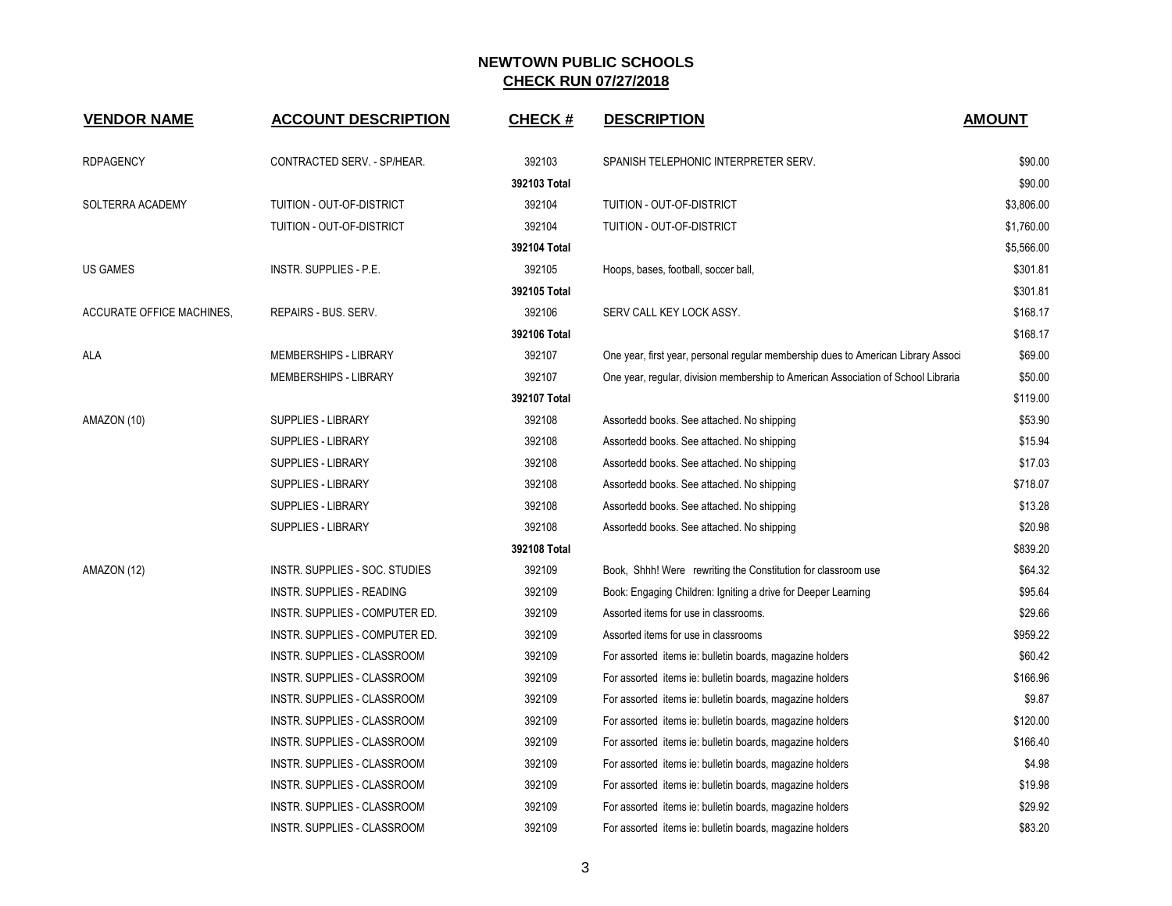| <b>VENDOR NAME</b>               | <b>ACCOUNT DESCRIPTION</b>     | <b>CHECK#</b> | <b>DESCRIPTION</b>                                                                | <b>AMOUNT</b> |
|----------------------------------|--------------------------------|---------------|-----------------------------------------------------------------------------------|---------------|
| <b>RDPAGENCY</b>                 | CONTRACTED SERV. - SP/HEAR.    | 392103        | SPANISH TELEPHONIC INTERPRETER SERV.                                              | \$90.00       |
|                                  |                                | 392103 Total  |                                                                                   | \$90.00       |
| SOLTERRA ACADEMY                 | TUITION - OUT-OF-DISTRICT      | 392104        | TUITION - OUT-OF-DISTRICT                                                         | \$3,806.00    |
|                                  | TUITION - OUT-OF-DISTRICT      | 392104        | TUITION - OUT-OF-DISTRICT                                                         | \$1,760.00    |
|                                  |                                | 392104 Total  |                                                                                   | \$5,566.00    |
| US GAMES                         | INSTR. SUPPLIES - P.E.         | 392105        | Hoops, bases, football, soccer ball,                                              | \$301.81      |
|                                  |                                | 392105 Total  |                                                                                   | \$301.81      |
| <b>ACCURATE OFFICE MACHINES,</b> | REPAIRS - BUS. SERV.           | 392106        | SERV CALL KEY LOCK ASSY.                                                          | \$168.17      |
|                                  |                                | 392106 Total  |                                                                                   | \$168.17      |
| ALA                              | MEMBERSHIPS - LIBRARY          | 392107        | One year, first year, personal regular membership dues to American Library Associ | \$69.00       |
|                                  | MEMBERSHIPS - LIBRARY          | 392107        | One year, regular, division membership to American Association of School Libraria | \$50.00       |
|                                  |                                | 392107 Total  |                                                                                   | \$119.00      |
| AMAZON (10)                      | SUPPLIES - LIBRARY             | 392108        | Assortedd books. See attached. No shipping                                        | \$53.90       |
|                                  | <b>SUPPLIES - LIBRARY</b>      | 392108        | Assortedd books. See attached. No shipping                                        | \$15.94       |
|                                  | <b>SUPPLIES - LIBRARY</b>      | 392108        | Assortedd books. See attached. No shipping                                        | \$17.03       |
|                                  | <b>SUPPLIES - LIBRARY</b>      | 392108        | Assortedd books. See attached. No shipping                                        | \$718.07      |
|                                  | <b>SUPPLIES - LIBRARY</b>      | 392108        | Assortedd books. See attached. No shipping                                        | \$13.28       |
|                                  | SUPPLIES - LIBRARY             | 392108        | Assortedd books. See attached. No shipping                                        | \$20.98       |
|                                  |                                | 392108 Total  |                                                                                   | \$839.20      |
| AMAZON (12)                      | INSTR. SUPPLIES - SOC. STUDIES | 392109        | Book, Shhh! Were rewriting the Constitution for classroom use                     | \$64.32       |
|                                  | INSTR. SUPPLIES - READING      | 392109        | Book: Engaging Children: Igniting a drive for Deeper Learning                     | \$95.64       |
|                                  | INSTR. SUPPLIES - COMPUTER ED. | 392109        | Assorted items for use in classrooms.                                             | \$29.66       |
|                                  | INSTR. SUPPLIES - COMPUTER ED. | 392109        | Assorted items for use in classrooms                                              | \$959.22      |
|                                  | INSTR. SUPPLIES - CLASSROOM    | 392109        | For assorted items ie: bulletin boards, magazine holders                          | \$60.42       |
|                                  | INSTR. SUPPLIES - CLASSROOM    | 392109        | For assorted items ie: bulletin boards, magazine holders                          | \$166.96      |
|                                  | INSTR. SUPPLIES - CLASSROOM    | 392109        | For assorted items ie: bulletin boards, magazine holders                          | \$9.87        |
|                                  | INSTR. SUPPLIES - CLASSROOM    | 392109        | For assorted items ie: bulletin boards, magazine holders                          | \$120.00      |
|                                  | INSTR. SUPPLIES - CLASSROOM    | 392109        | For assorted items ie: bulletin boards, magazine holders                          | \$166.40      |
|                                  | INSTR. SUPPLIES - CLASSROOM    | 392109        | For assorted items ie: bulletin boards, magazine holders                          | \$4.98        |
|                                  | INSTR. SUPPLIES - CLASSROOM    | 392109        | For assorted items ie: bulletin boards, magazine holders                          | \$19.98       |
|                                  | INSTR. SUPPLIES - CLASSROOM    | 392109        | For assorted items ie: bulletin boards, magazine holders                          | \$29.92       |
|                                  | INSTR. SUPPLIES - CLASSROOM    | 392109        | For assorted items ie: bulletin boards, magazine holders                          | \$83.20       |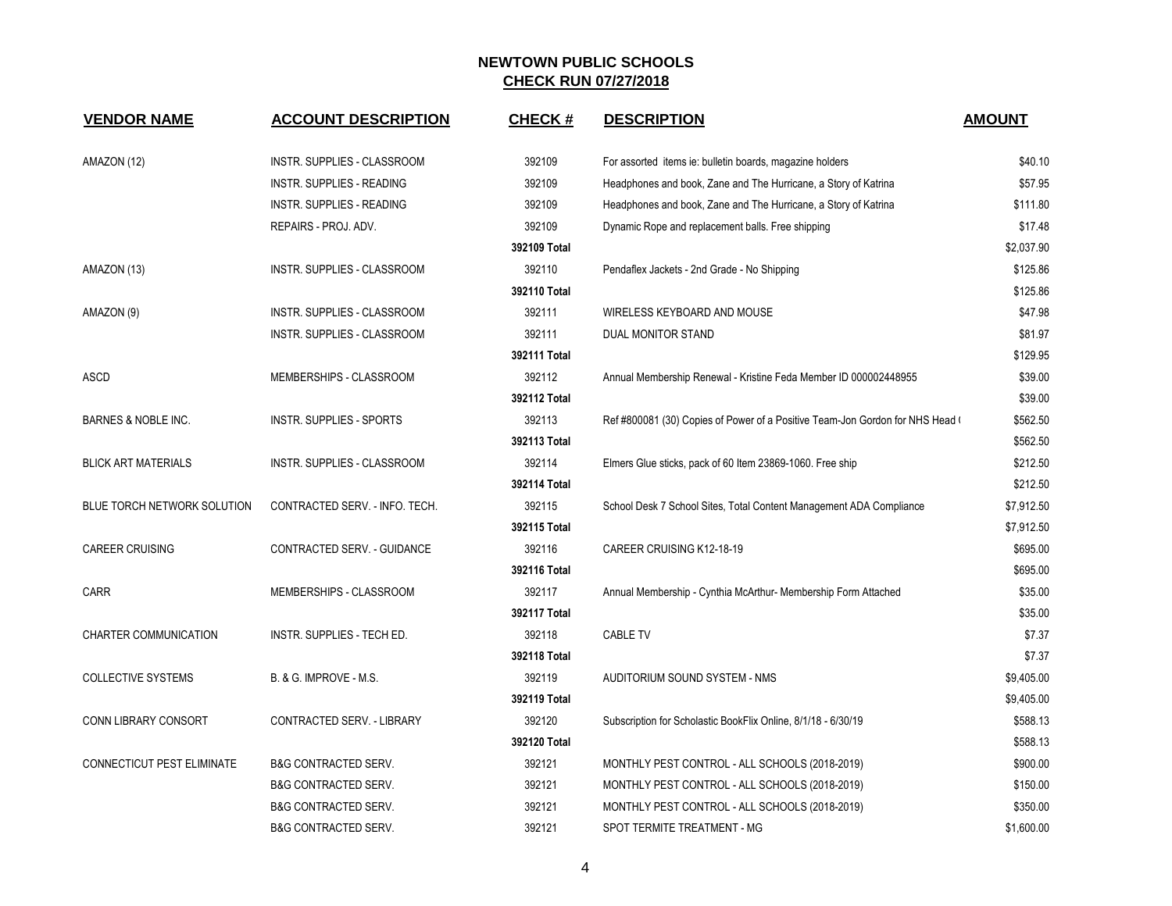| <b>VENDOR NAME</b>                | <b>ACCOUNT DESCRIPTION</b>       | <b>CHECK#</b> | <b>DESCRIPTION</b>                                                            | <b>AMOUNT</b> |
|-----------------------------------|----------------------------------|---------------|-------------------------------------------------------------------------------|---------------|
| AMAZON (12)                       | INSTR. SUPPLIES - CLASSROOM      | 392109        | For assorted items ie: bulletin boards, magazine holders                      | \$40.10       |
|                                   | <b>INSTR. SUPPLIES - READING</b> | 392109        | Headphones and book, Zane and The Hurricane, a Story of Katrina               | \$57.95       |
|                                   | <b>INSTR. SUPPLIES - READING</b> | 392109        | Headphones and book, Zane and The Hurricane, a Story of Katrina               | \$111.80      |
|                                   | REPAIRS - PROJ. ADV.             | 392109        | Dynamic Rope and replacement balls. Free shipping                             | \$17.48       |
|                                   |                                  | 392109 Total  |                                                                               | \$2,037.90    |
| AMAZON (13)                       | INSTR. SUPPLIES - CLASSROOM      | 392110        | Pendaflex Jackets - 2nd Grade - No Shipping                                   | \$125.86      |
|                                   |                                  | 392110 Total  |                                                                               | \$125.86      |
| AMAZON (9)                        | INSTR. SUPPLIES - CLASSROOM      | 392111        | WIRELESS KEYBOARD AND MOUSE                                                   | \$47.98       |
|                                   | INSTR. SUPPLIES - CLASSROOM      | 392111        | DUAL MONITOR STAND                                                            | \$81.97       |
|                                   |                                  | 392111 Total  |                                                                               | \$129.95      |
| ASCD                              | MEMBERSHIPS - CLASSROOM          | 392112        | Annual Membership Renewal - Kristine Feda Member ID 000002448955              | \$39.00       |
|                                   |                                  | 392112 Total  |                                                                               | \$39.00       |
| BARNES & NOBLE INC.               | <b>INSTR. SUPPLIES - SPORTS</b>  | 392113        | Ref #800081 (30) Copies of Power of a Positive Team-Jon Gordon for NHS Head ( | \$562.50      |
|                                   |                                  | 392113 Total  |                                                                               | \$562.50      |
| <b>BLICK ART MATERIALS</b>        | INSTR. SUPPLIES - CLASSROOM      | 392114        | Elmers Glue sticks, pack of 60 Item 23869-1060. Free ship                     | \$212.50      |
|                                   |                                  | 392114 Total  |                                                                               | \$212.50      |
| BLUE TORCH NETWORK SOLUTION       | CONTRACTED SERV. - INFO. TECH.   | 392115        | School Desk 7 School Sites, Total Content Management ADA Compliance           | \$7,912.50    |
|                                   |                                  | 392115 Total  |                                                                               | \$7,912.50    |
| <b>CAREER CRUISING</b>            | CONTRACTED SERV. - GUIDANCE      | 392116        | CAREER CRUISING K12-18-19                                                     | \$695.00      |
|                                   |                                  | 392116 Total  |                                                                               | \$695.00      |
| <b>CARR</b>                       | MEMBERSHIPS - CLASSROOM          | 392117        | Annual Membership - Cynthia McArthur- Membership Form Attached                | \$35.00       |
|                                   |                                  | 392117 Total  |                                                                               | \$35.00       |
| CHARTER COMMUNICATION             | INSTR. SUPPLIES - TECH ED.       | 392118        | <b>CABLE TV</b>                                                               | \$7.37        |
|                                   |                                  | 392118 Total  |                                                                               | \$7.37        |
| <b>COLLECTIVE SYSTEMS</b>         | B. & G. IMPROVE - M.S.           | 392119        | AUDITORIUM SOUND SYSTEM - NMS                                                 | \$9,405.00    |
|                                   |                                  | 392119 Total  |                                                                               | \$9,405.00    |
| <b>CONN LIBRARY CONSORT</b>       | CONTRACTED SERV. - LIBRARY       | 392120        | Subscription for Scholastic BookFlix Online, 8/1/18 - 6/30/19                 | \$588.13      |
|                                   |                                  | 392120 Total  |                                                                               | \$588.13      |
| <b>CONNECTICUT PEST ELIMINATE</b> | <b>B&amp;G CONTRACTED SERV.</b>  | 392121        | MONTHLY PEST CONTROL - ALL SCHOOLS (2018-2019)                                | \$900.00      |
|                                   | <b>B&amp;G CONTRACTED SERV.</b>  | 392121        | MONTHLY PEST CONTROL - ALL SCHOOLS (2018-2019)                                | \$150.00      |
|                                   | <b>B&amp;G CONTRACTED SERV.</b>  | 392121        | MONTHLY PEST CONTROL - ALL SCHOOLS (2018-2019)                                | \$350.00      |
|                                   | <b>B&amp;G CONTRACTED SERV.</b>  | 392121        | SPOT TERMITE TREATMENT - MG                                                   | \$1,600.00    |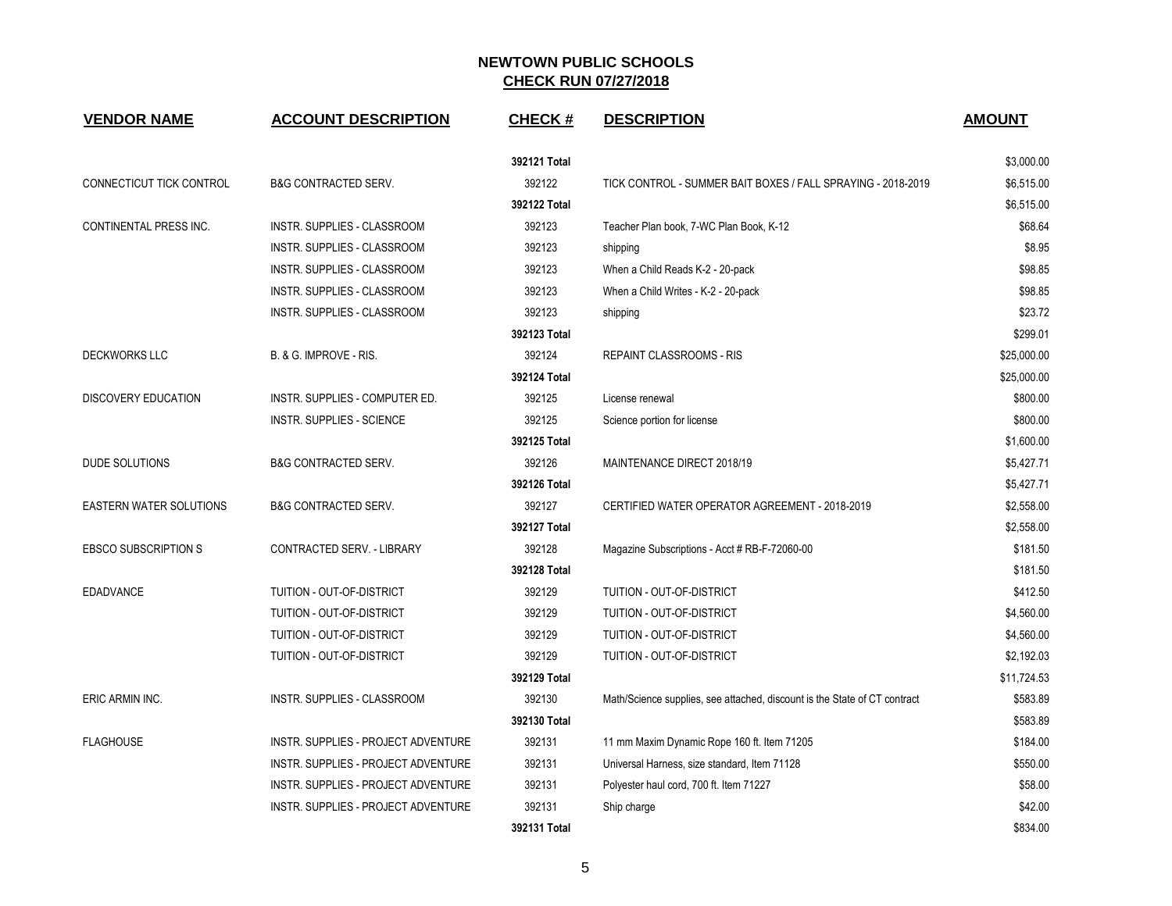| <b>VENDOR NAME</b>             | <b>ACCOUNT DESCRIPTION</b>          | <b>CHECK#</b> | <b>DESCRIPTION</b>                                                        | <b>AMOUNT</b> |
|--------------------------------|-------------------------------------|---------------|---------------------------------------------------------------------------|---------------|
|                                |                                     | 392121 Total  |                                                                           | \$3,000.00    |
| CONNECTICUT TICK CONTROL       | B&G CONTRACTED SERV.                | 392122        | TICK CONTROL - SUMMER BAIT BOXES / FALL SPRAYING - 2018-2019              | \$6,515.00    |
|                                |                                     | 392122 Total  |                                                                           | \$6,515.00    |
| <b>CONTINENTAL PRESS INC.</b>  | INSTR. SUPPLIES - CLASSROOM         | 392123        | Teacher Plan book, 7-WC Plan Book, K-12                                   | \$68.64       |
|                                | INSTR. SUPPLIES - CLASSROOM         | 392123        | shipping                                                                  | \$8.95        |
|                                | INSTR. SUPPLIES - CLASSROOM         | 392123        | When a Child Reads K-2 - 20-pack                                          | \$98.85       |
|                                | INSTR. SUPPLIES - CLASSROOM         | 392123        | When a Child Writes - K-2 - 20-pack                                       | \$98.85       |
|                                | INSTR. SUPPLIES - CLASSROOM         | 392123        | shipping                                                                  | \$23.72       |
|                                |                                     | 392123 Total  |                                                                           | \$299.01      |
| <b>DECKWORKS LLC</b>           | B. & G. IMPROVE - RIS.              | 392124        | <b>REPAINT CLASSROOMS - RIS</b>                                           | \$25,000.00   |
|                                |                                     | 392124 Total  |                                                                           | \$25,000.00   |
| <b>DISCOVERY EDUCATION</b>     | INSTR. SUPPLIES - COMPUTER ED.      | 392125        | License renewal                                                           | \$800.00      |
|                                | INSTR. SUPPLIES - SCIENCE           | 392125        | Science portion for license                                               | \$800.00      |
|                                |                                     | 392125 Total  |                                                                           | \$1,600.00    |
| <b>DUDE SOLUTIONS</b>          | <b>B&amp;G CONTRACTED SERV.</b>     | 392126        | MAINTENANCE DIRECT 2018/19                                                | \$5,427.71    |
|                                |                                     | 392126 Total  |                                                                           | \$5,427.71    |
| <b>EASTERN WATER SOLUTIONS</b> | <b>B&amp;G CONTRACTED SERV.</b>     | 392127        | CERTIFIED WATER OPERATOR AGREEMENT - 2018-2019                            | \$2,558.00    |
|                                |                                     | 392127 Total  |                                                                           | \$2,558.00    |
| <b>EBSCO SUBSCRIPTION S</b>    | CONTRACTED SERV. - LIBRARY          | 392128        | Magazine Subscriptions - Acct # RB-F-72060-00                             | \$181.50      |
|                                |                                     | 392128 Total  |                                                                           | \$181.50      |
| <b>EDADVANCE</b>               | TUITION - OUT-OF-DISTRICT           | 392129        | TUITION - OUT-OF-DISTRICT                                                 | \$412.50      |
|                                | TUITION - OUT-OF-DISTRICT           | 392129        | TUITION - OUT-OF-DISTRICT                                                 | \$4,560.00    |
|                                | TUITION - OUT-OF-DISTRICT           | 392129        | TUITION - OUT-OF-DISTRICT                                                 | \$4,560.00    |
|                                | TUITION - OUT-OF-DISTRICT           | 392129        | TUITION - OUT-OF-DISTRICT                                                 | \$2,192.03    |
|                                |                                     | 392129 Total  |                                                                           | \$11,724.53   |
| ERIC ARMIN INC.                | INSTR. SUPPLIES - CLASSROOM         | 392130        | Math/Science supplies, see attached, discount is the State of CT contract | \$583.89      |
|                                |                                     | 392130 Total  |                                                                           | \$583.89      |
| <b>FLAGHOUSE</b>               | INSTR. SUPPLIES - PROJECT ADVENTURE | 392131        | 11 mm Maxim Dynamic Rope 160 ft. Item 71205                               | \$184.00      |
|                                | INSTR. SUPPLIES - PROJECT ADVENTURE | 392131        | Universal Harness, size standard, Item 71128                              | \$550.00      |
|                                | INSTR. SUPPLIES - PROJECT ADVENTURE | 392131        | Polyester haul cord, 700 ft. Item 71227                                   | \$58.00       |
|                                | INSTR. SUPPLIES - PROJECT ADVENTURE | 392131        | Ship charge                                                               | \$42.00       |
|                                |                                     | 392131 Total  |                                                                           | \$834.00      |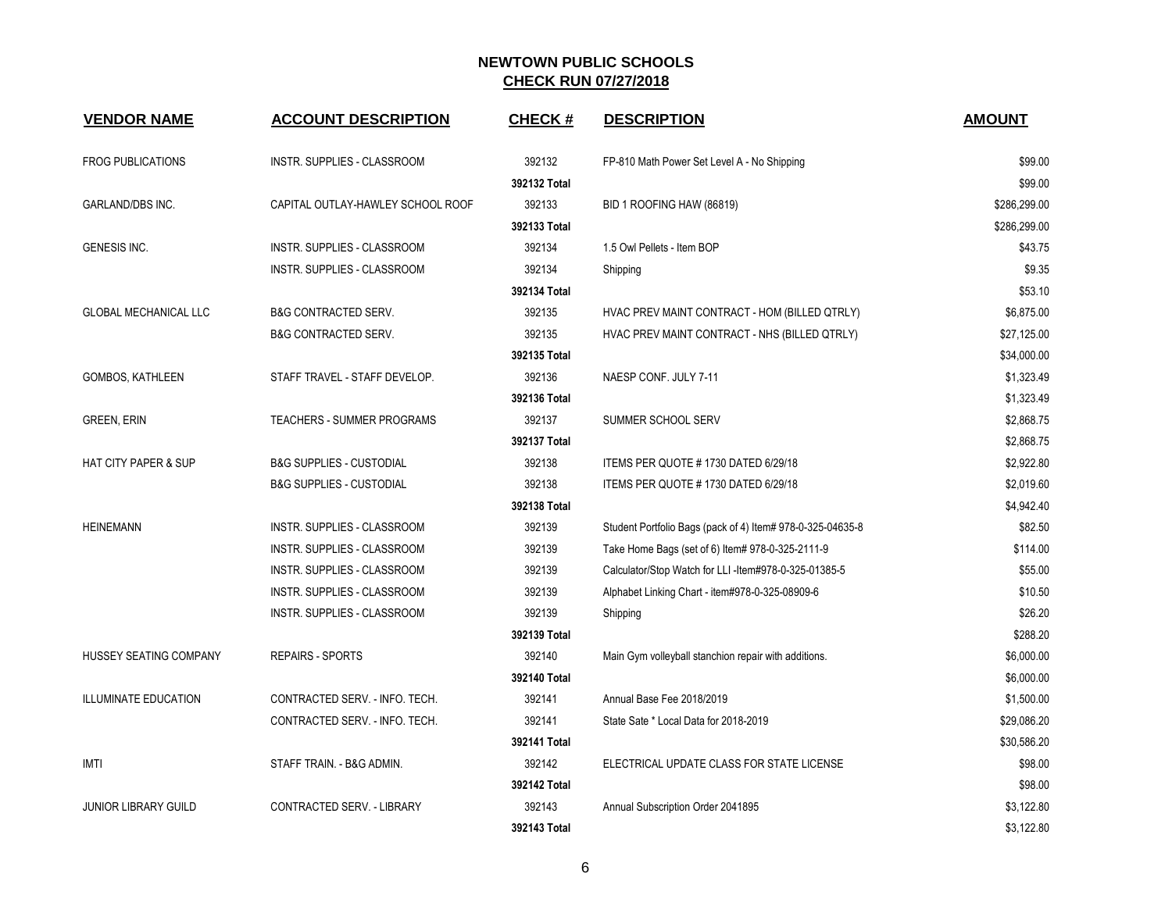| <b>VENDOR NAME</b>              | <b>ACCOUNT DESCRIPTION</b>          | <b>CHECK#</b> | <b>DESCRIPTION</b>                                         | <b>AMOUNT</b> |
|---------------------------------|-------------------------------------|---------------|------------------------------------------------------------|---------------|
| <b>FROG PUBLICATIONS</b>        | INSTR. SUPPLIES - CLASSROOM         | 392132        | FP-810 Math Power Set Level A - No Shipping                | \$99.00       |
|                                 |                                     | 392132 Total  |                                                            | \$99.00       |
| <b>GARLAND/DBS INC.</b>         | CAPITAL OUTLAY-HAWLEY SCHOOL ROOF   | 392133        | BID 1 ROOFING HAW (86819)                                  | \$286,299.00  |
|                                 |                                     | 392133 Total  |                                                            | \$286,299.00  |
| <b>GENESIS INC.</b>             | INSTR. SUPPLIES - CLASSROOM         | 392134        | 1.5 Owl Pellets - Item BOP                                 | \$43.75       |
|                                 | INSTR. SUPPLIES - CLASSROOM         | 392134        | Shipping                                                   | \$9.35        |
|                                 |                                     | 392134 Total  |                                                            | \$53.10       |
| <b>GLOBAL MECHANICAL LLC</b>    | <b>B&amp;G CONTRACTED SERV.</b>     | 392135        | HVAC PREV MAINT CONTRACT - HOM (BILLED QTRLY)              | \$6,875.00    |
|                                 | <b>B&amp;G CONTRACTED SERV.</b>     | 392135        | HVAC PREV MAINT CONTRACT - NHS (BILLED QTRLY)              | \$27,125.00   |
|                                 |                                     | 392135 Total  |                                                            | \$34,000.00   |
| GOMBOS, KATHLEEN                | STAFF TRAVEL - STAFF DEVELOP.       | 392136        | NAESP CONF. JULY 7-11                                      | \$1,323.49    |
|                                 |                                     | 392136 Total  |                                                            | \$1,323.49    |
| <b>GREEN, ERIN</b>              | TEACHERS - SUMMER PROGRAMS          | 392137        | SUMMER SCHOOL SERV                                         | \$2,868.75    |
|                                 |                                     | 392137 Total  |                                                            | \$2,868.75    |
| <b>HAT CITY PAPER &amp; SUP</b> | <b>B&amp;G SUPPLIES - CUSTODIAL</b> | 392138        | ITEMS PER QUOTE #1730 DATED 6/29/18                        | \$2,922.80    |
|                                 | <b>B&amp;G SUPPLIES - CUSTODIAL</b> | 392138        | ITEMS PER QUOTE #1730 DATED 6/29/18                        | \$2,019.60    |
|                                 |                                     | 392138 Total  |                                                            | \$4,942.40    |
| <b>HEINEMANN</b>                | INSTR. SUPPLIES - CLASSROOM         | 392139        | Student Portfolio Bags (pack of 4) Item# 978-0-325-04635-8 | \$82.50       |
|                                 | INSTR. SUPPLIES - CLASSROOM         | 392139        | Take Home Bags (set of 6) Item# 978-0-325-2111-9           | \$114.00      |
|                                 | INSTR. SUPPLIES - CLASSROOM         | 392139        | Calculator/Stop Watch for LLI-Item#978-0-325-01385-5       | \$55.00       |
|                                 | INSTR. SUPPLIES - CLASSROOM         | 392139        | Alphabet Linking Chart - item#978-0-325-08909-6            | \$10.50       |
|                                 | INSTR. SUPPLIES - CLASSROOM         | 392139        | Shipping                                                   | \$26.20       |
|                                 |                                     | 392139 Total  |                                                            | \$288.20      |
| HUSSEY SEATING COMPANY          | <b>REPAIRS - SPORTS</b>             | 392140        | Main Gym volleyball stanchion repair with additions.       | \$6,000.00    |
|                                 |                                     | 392140 Total  |                                                            | \$6,000.00    |
| <b>ILLUMINATE EDUCATION</b>     | CONTRACTED SERV. - INFO. TECH.      | 392141        | Annual Base Fee 2018/2019                                  | \$1,500.00    |
|                                 | CONTRACTED SERV. - INFO. TECH.      | 392141        | State Sate * Local Data for 2018-2019                      | \$29,086.20   |
|                                 |                                     | 392141 Total  |                                                            | \$30,586.20   |
| IMTI                            | STAFF TRAIN. - B&G ADMIN.           | 392142        | ELECTRICAL UPDATE CLASS FOR STATE LICENSE                  | \$98.00       |
|                                 |                                     | 392142 Total  |                                                            | \$98.00       |
| <b>JUNIOR LIBRARY GUILD</b>     | CONTRACTED SERV. - LIBRARY          | 392143        | Annual Subscription Order 2041895                          | \$3,122.80    |
|                                 |                                     | 392143 Total  |                                                            | \$3,122.80    |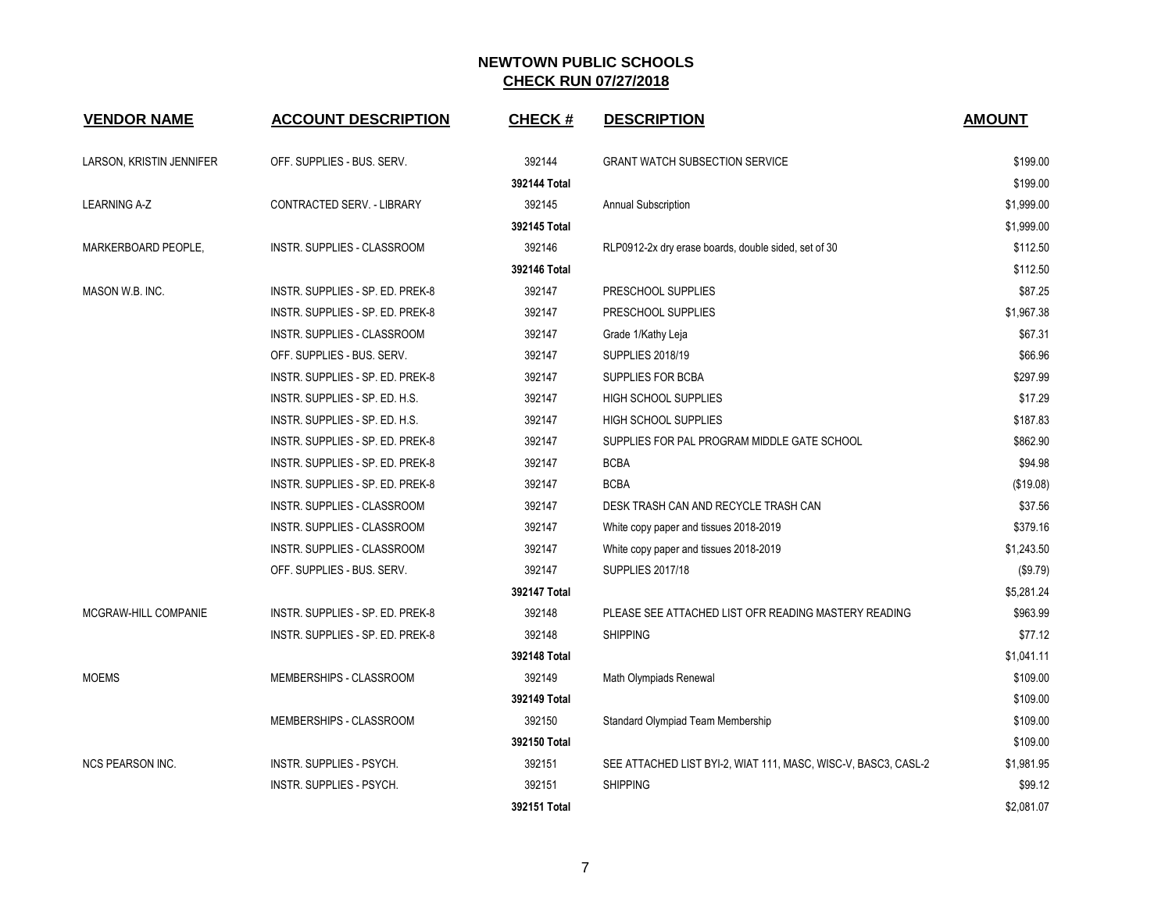| <b>VENDOR NAME</b>       | <b>ACCOUNT DESCRIPTION</b>       | <b>CHECK#</b> | <b>DESCRIPTION</b>                                             | <b>AMOUNT</b> |
|--------------------------|----------------------------------|---------------|----------------------------------------------------------------|---------------|
| LARSON, KRISTIN JENNIFER | OFF. SUPPLIES - BUS. SERV.       | 392144        | <b>GRANT WATCH SUBSECTION SERVICE</b>                          | \$199.00      |
|                          |                                  | 392144 Total  |                                                                | \$199.00      |
| <b>LEARNING A-Z</b>      | CONTRACTED SERV. - LIBRARY       | 392145        | Annual Subscription                                            | \$1,999.00    |
|                          |                                  | 392145 Total  |                                                                | \$1,999.00    |
| MARKERBOARD PEOPLE,      | INSTR. SUPPLIES - CLASSROOM      | 392146        | RLP0912-2x dry erase boards, double sided, set of 30           | \$112.50      |
|                          |                                  | 392146 Total  |                                                                | \$112.50      |
| MASON W.B. INC.          | INSTR. SUPPLIES - SP. ED. PREK-8 | 392147        | PRESCHOOL SUPPLIES                                             | \$87.25       |
|                          | INSTR. SUPPLIES - SP. ED. PREK-8 | 392147        | PRESCHOOL SUPPLIES                                             | \$1,967.38    |
|                          | INSTR. SUPPLIES - CLASSROOM      | 392147        | Grade 1/Kathy Leja                                             | \$67.31       |
|                          | OFF. SUPPLIES - BUS. SERV.       | 392147        | SUPPLIES 2018/19                                               | \$66.96       |
|                          | INSTR. SUPPLIES - SP. ED. PREK-8 | 392147        | SUPPLIES FOR BCBA                                              | \$297.99      |
|                          | INSTR. SUPPLIES - SP. ED. H.S.   | 392147        | <b>HIGH SCHOOL SUPPLIES</b>                                    | \$17.29       |
|                          | INSTR. SUPPLIES - SP. ED. H.S.   | 392147        | <b>HIGH SCHOOL SUPPLIES</b>                                    | \$187.83      |
|                          | INSTR. SUPPLIES - SP. ED. PREK-8 | 392147        | SUPPLIES FOR PAL PROGRAM MIDDLE GATE SCHOOL                    | \$862.90      |
|                          | INSTR. SUPPLIES - SP. ED. PREK-8 | 392147        | <b>BCBA</b>                                                    | \$94.98       |
|                          | INSTR. SUPPLIES - SP. ED. PREK-8 | 392147        | <b>BCBA</b>                                                    | (\$19.08)     |
|                          | INSTR. SUPPLIES - CLASSROOM      | 392147        | DESK TRASH CAN AND RECYCLE TRASH CAN                           | \$37.56       |
|                          | INSTR. SUPPLIES - CLASSROOM      | 392147        | White copy paper and tissues 2018-2019                         | \$379.16      |
|                          | INSTR. SUPPLIES - CLASSROOM      | 392147        | White copy paper and tissues 2018-2019                         | \$1,243.50    |
|                          | OFF. SUPPLIES - BUS. SERV.       | 392147        | <b>SUPPLIES 2017/18</b>                                        | (\$9.79)      |
|                          |                                  | 392147 Total  |                                                                | \$5,281.24    |
| MCGRAW-HILL COMPANIE     | INSTR. SUPPLIES - SP. ED. PREK-8 | 392148        | PLEASE SEE ATTACHED LIST OFR READING MASTERY READING           | \$963.99      |
|                          | INSTR. SUPPLIES - SP. ED. PREK-8 | 392148        | <b>SHIPPING</b>                                                | \$77.12       |
|                          |                                  | 392148 Total  |                                                                | \$1,041.11    |
| <b>MOEMS</b>             | MEMBERSHIPS - CLASSROOM          | 392149        | Math Olympiads Renewal                                         | \$109.00      |
|                          |                                  | 392149 Total  |                                                                | \$109.00      |
|                          | MEMBERSHIPS - CLASSROOM          | 392150        | Standard Olympiad Team Membership                              | \$109.00      |
|                          |                                  | 392150 Total  |                                                                | \$109.00      |
| <b>NCS PEARSON INC.</b>  | INSTR. SUPPLIES - PSYCH.         | 392151        | SEE ATTACHED LIST BYI-2, WIAT 111, MASC, WISC-V, BASC3, CASL-2 | \$1,981.95    |
|                          | INSTR. SUPPLIES - PSYCH.         | 392151        | <b>SHIPPING</b>                                                | \$99.12       |
|                          |                                  | 392151 Total  |                                                                | \$2,081.07    |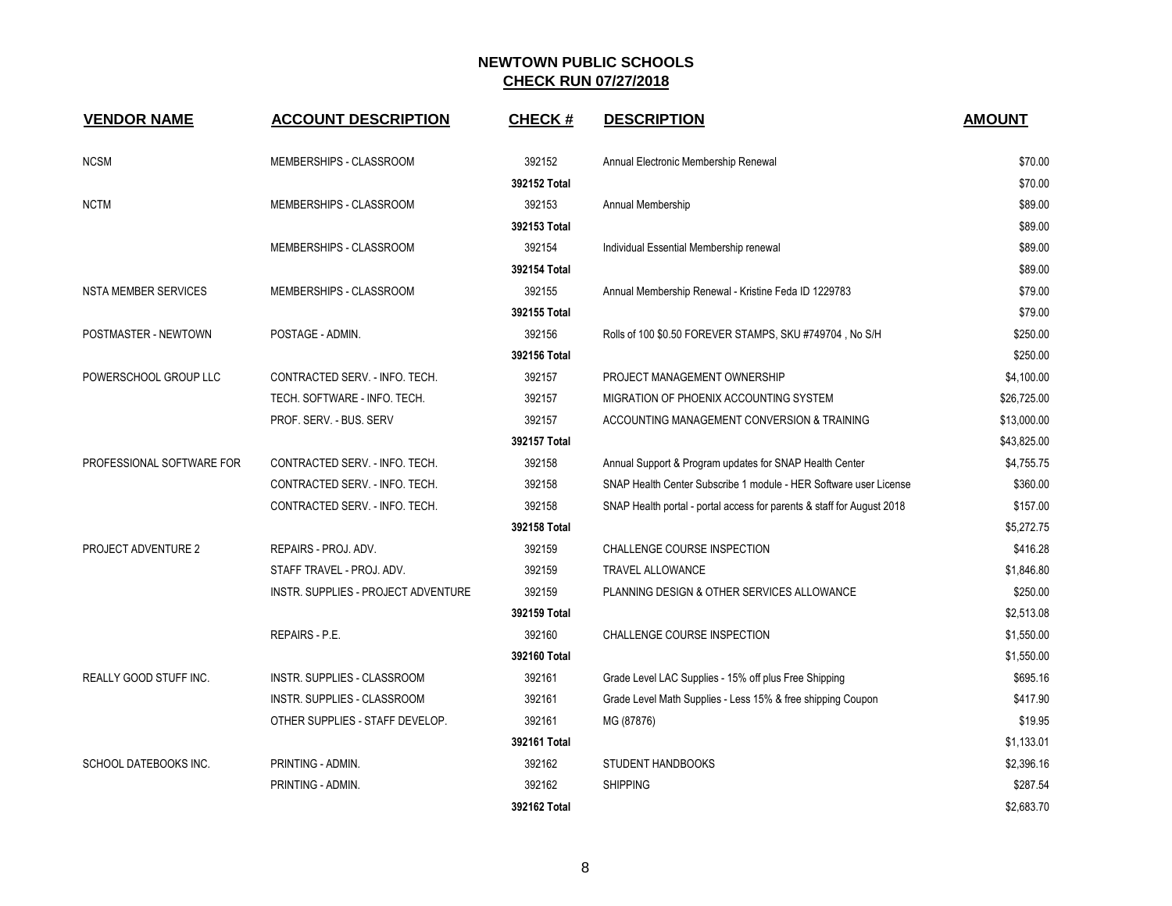| <b>VENDOR NAME</b>          | <b>ACCOUNT DESCRIPTION</b>          | <b>CHECK#</b> | <b>DESCRIPTION</b>                                                     | <b>AMOUNT</b> |
|-----------------------------|-------------------------------------|---------------|------------------------------------------------------------------------|---------------|
| <b>NCSM</b>                 | MEMBERSHIPS - CLASSROOM             | 392152        | Annual Electronic Membership Renewal                                   | \$70.00       |
|                             |                                     | 392152 Total  |                                                                        | \$70.00       |
| <b>NCTM</b>                 | MEMBERSHIPS - CLASSROOM             | 392153        | Annual Membership                                                      | \$89.00       |
|                             |                                     | 392153 Total  |                                                                        | \$89.00       |
|                             | MEMBERSHIPS - CLASSROOM             | 392154        | Individual Essential Membership renewal                                | \$89.00       |
|                             |                                     | 392154 Total  |                                                                        | \$89.00       |
| <b>NSTA MEMBER SERVICES</b> | MEMBERSHIPS - CLASSROOM             | 392155        | Annual Membership Renewal - Kristine Feda ID 1229783                   | \$79.00       |
|                             |                                     | 392155 Total  |                                                                        | \$79.00       |
| POSTMASTER - NEWTOWN        | POSTAGE - ADMIN.                    | 392156        | Rolls of 100 \$0.50 FOREVER STAMPS, SKU #749704, No S/H                | \$250.00      |
|                             |                                     | 392156 Total  |                                                                        | \$250.00      |
| POWERSCHOOL GROUP LLC       | CONTRACTED SERV. - INFO. TECH.      | 392157        | PROJECT MANAGEMENT OWNERSHIP                                           | \$4,100.00    |
|                             | TECH. SOFTWARE - INFO. TECH.        | 392157        | MIGRATION OF PHOENIX ACCOUNTING SYSTEM                                 | \$26,725.00   |
|                             | PROF. SERV. - BUS. SERV             | 392157        | ACCOUNTING MANAGEMENT CONVERSION & TRAINING                            | \$13,000.00   |
|                             |                                     | 392157 Total  |                                                                        | \$43,825.00   |
| PROFESSIONAL SOFTWARE FOR   | CONTRACTED SERV. - INFO. TECH.      | 392158        | Annual Support & Program updates for SNAP Health Center                | \$4,755.75    |
|                             | CONTRACTED SERV. - INFO. TECH.      | 392158        | SNAP Health Center Subscribe 1 module - HER Software user License      | \$360.00      |
|                             | CONTRACTED SERV. - INFO. TECH.      | 392158        | SNAP Health portal - portal access for parents & staff for August 2018 | \$157.00      |
|                             |                                     | 392158 Total  |                                                                        | \$5,272.75    |
| PROJECT ADVENTURE 2         | REPAIRS - PROJ. ADV.                | 392159        | CHALLENGE COURSE INSPECTION                                            | \$416.28      |
|                             | STAFF TRAVEL - PROJ. ADV.           | 392159        | <b>TRAVEL ALLOWANCE</b>                                                | \$1,846.80    |
|                             | INSTR. SUPPLIES - PROJECT ADVENTURE | 392159        | PLANNING DESIGN & OTHER SERVICES ALLOWANCE                             | \$250.00      |
|                             |                                     | 392159 Total  |                                                                        | \$2,513.08    |
|                             | REPAIRS - P.E.                      | 392160        | <b>CHALLENGE COURSE INSPECTION</b>                                     | \$1,550.00    |
|                             |                                     | 392160 Total  |                                                                        | \$1,550.00    |
| REALLY GOOD STUFF INC.      | INSTR. SUPPLIES - CLASSROOM         | 392161        | Grade Level LAC Supplies - 15% off plus Free Shipping                  | \$695.16      |
|                             | INSTR. SUPPLIES - CLASSROOM         | 392161        | Grade Level Math Supplies - Less 15% & free shipping Coupon            | \$417.90      |
|                             | OTHER SUPPLIES - STAFF DEVELOP.     | 392161        | MG (87876)                                                             | \$19.95       |
|                             |                                     | 392161 Total  |                                                                        | \$1,133.01    |
| SCHOOL DATEBOOKS INC.       | PRINTING - ADMIN.                   | 392162        | <b>STUDENT HANDBOOKS</b>                                               | \$2,396.16    |
|                             | PRINTING - ADMIN.                   | 392162        | <b>SHIPPING</b>                                                        | \$287.54      |
|                             |                                     | 392162 Total  |                                                                        | \$2.683.70    |